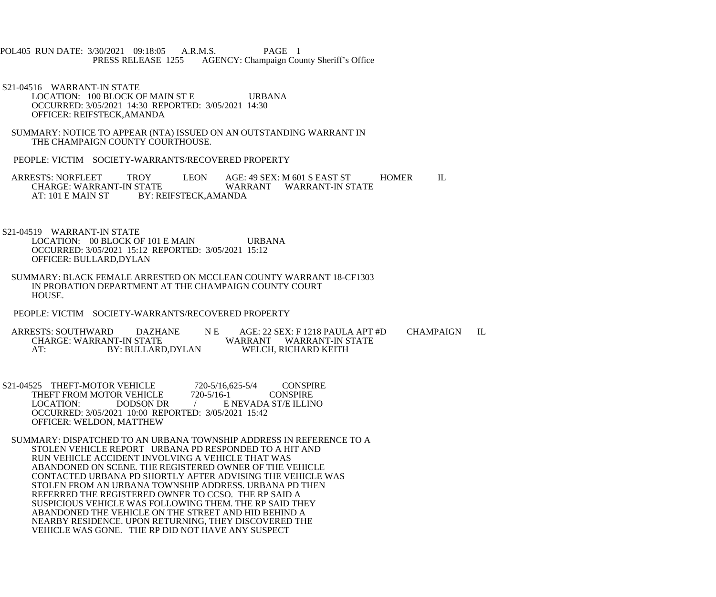- POL405 RUN DATE: 3/30/2021 09:18:05 A.R.M.S. PAGE 1<br>PRESS RELEASE 1255 AGENCY: Champaign Cou AGENCY: Champaign County Sheriff's Office
- S21-04516 WARRANT-IN STATE LOCATION: 100 BLOCK OF MAIN ST E URBANA OCCURRED: 3/05/2021 14:30 REPORTED: 3/05/2021 14:30 OFFICER: REIFSTECK,AMANDA
- SUMMARY: NOTICE TO APPEAR (NTA) ISSUED ON AN OUTSTANDING WARRANT IN THE CHAMPAIGN COUNTY COURTHOUSE.
- PEOPLE: VICTIM SOCIETY-WARRANTS/RECOVERED PROPERTY
- ARRESTS: NORFLEET TROY LEON AGE: 49 SEX: M 601 S EAST ST HOMER IL CHARGE: WARRANT-IN STATE CHARGE: WARRANT-IN STATE WARRANT WARRANT-IN STATE<br>AT: 101 E MAIN ST BY: REIFSTECK.AMANDA BY: REIFSTECK,AMANDA
- S21-04519 WARRANT-IN STATE LOCATION: 00 BLOCK OF 101 E MAIN URBANA OCCURRED: 3/05/2021 15:12 REPORTED: 3/05/2021 15:12 OFFICER: BULLARD,DYLAN
- SUMMARY: BLACK FEMALE ARRESTED ON MCCLEAN COUNTY WARRANT 18-CF1303 IN PROBATION DEPARTMENT AT THE CHAMPAIGN COUNTY COURT HOUSE.
- PEOPLE: VICTIM SOCIETY-WARRANTS/RECOVERED PROPERTY
- ARRESTS: SOUTHWARD DAZHANE N E AGE: 22 SEX: F 1218 PAULA APT #D CHAMPAIGN IL NT-IN STATE WARRANT WARRANT-IN STATE<br>BY: BULLARD.DYLAN WELCH. RICHARD KEITH AT: BY: BULLARD,DYLAN WELCH, RICHARD KEITH
- S21-04525 THEFT-MOTOR VEHICLE 720-5/16,625-5/4 CONSPIRE<br>THEFT FROM MOTOR VEHICLE 720-5/16-1 CONSPIRE THEFT FROM MOTOR VEHICLE<br>LOCATION: DODSON DR E NEVADA ST/E ILLINO OCCURRED: 3/05/2021 10:00 REPORTED: 3/05/2021 15:42 OFFICER: WELDON, MATTHEW
- SUMMARY: DISPATCHED TO AN URBANA TOWNSHIP ADDRESS IN REFERENCE TO A STOLEN VEHICLE REPORT URBANA PD RESPONDED TO A HIT AND RUN VEHICLE ACCIDENT INVOLVING A VEHICLE THAT WAS ABANDONED ON SCENE. THE REGISTERED OWNER OF THE VEHICLE CONTACTED URBANA PD SHORTLY AFTER ADVISING THE VEHICLE WAS STOLEN FROM AN URBANA TOWNSHIP ADDRESS. URBANA PD THEN REFERRED THE REGISTERED OWNER TO CCSO. THE RP SAID A SUSPICIOUS VEHICLE WAS FOLLOWING THEM. THE RP SAID THEY ABANDONED THE VEHICLE ON THE STREET AND HID BEHIND A NEARBY RESIDENCE. UPON RETURNING, THEY DISCOVERED THE VEHICLE WAS GONE. THE RP DID NOT HAVE ANY SUSPECT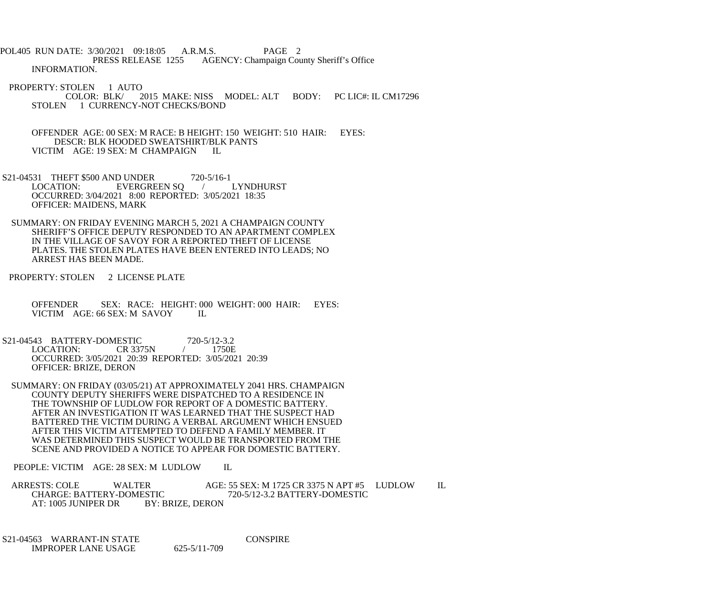POL405 RUN DATE: 3/30/2021 09:18:05 A.R.M.S. PAGE 2<br>PRESS RELEASE 1255 AGENCY: Champaign Cou AGENCY: Champaign County Sheriff's Office INFORMATION.

PROPERTY: STOLEN 1 AUTO<br>COLOR: BLK/2 2015 MAKE: NISS MODEL: ALT BODY: PC LIC#: IL CM17296 STOLEN 1 CURRENCY-NOT CHECKS/BOND

 OFFENDER AGE: 00 SEX: M RACE: B HEIGHT: 150 WEIGHT: 510 HAIR: EYES: DESCR: BLK HOODED SWEATSHIRT/BLK PANTS VICTIM AGE: 19 SEX: M CHAMPAIGN IL

- S21-04531 THEFT \$500 AND UNDER 720-5/16-1<br>LOCATION: EVERGREEN SO / LYNDHURST EVERGREEN SQ / OCCURRED: 3/04/2021 8:00 REPORTED: 3/05/2021 18:35 OFFICER: MAIDENS, MARK
- SUMMARY: ON FRIDAY EVENING MARCH 5, 2021 A CHAMPAIGN COUNTY SHERIFF'S OFFICE DEPUTY RESPONDED TO AN APARTMENT COMPLEX IN THE VILLAGE OF SAVOY FOR A REPORTED THEFT OF LICENSE PLATES. THE STOLEN PLATES HAVE BEEN ENTERED INTO LEADS; NO ARREST HAS BEEN MADE.
- PROPERTY: STOLEN 2 LICENSE PLATE
	- OFFENDER SEX: RACE: HEIGHT: 000 WEIGHT: 000 HAIR: EYES: VICTIM AGE: 66 SEX: M SAVOY IL
- S21-04543 BATTERY-DOMESTIC 720-5/12-3.2<br>LOCATION: CR 3375N / 1750E LOCATION: OCCURRED: 3/05/2021 20:39 REPORTED: 3/05/2021 20:39 OFFICER: BRIZE, DERON
- SUMMARY: ON FRIDAY (03/05/21) AT APPROXIMATELY 2041 HRS. CHAMPAIGN COUNTY DEPUTY SHERIFFS WERE DISPATCHED TO A RESIDENCE IN THE TOWNSHIP OF LUDLOW FOR REPORT OF A DOMESTIC BATTERY. AFTER AN INVESTIGATION IT WAS LEARNED THAT THE SUSPECT HAD BATTERED THE VICTIM DURING A VERBAL ARGUMENT WHICH ENSUED AFTER THIS VICTIM ATTEMPTED TO DEFEND A FAMILY MEMBER. IT WAS DETERMINED THIS SUSPECT WOULD BE TRANSPORTED FROM THE SCENE AND PROVIDED A NOTICE TO APPEAR FOR DOMESTIC BATTERY.

PEOPLE: VICTIM AGE: 28 SEX: M LUDLOW IL

ARRESTS: COLE WALTER AGE: 55 SEX: M 1725 CR 3375 N APT #5 LUDLOW IL<br>CHARGE: BATTERY-DOMESTIC 720-5/12-3.2 BATTERY-DOMESTIC ESTIC 720-5/12-3.2 BATTERY-DOMESTIC<br>BY: BRIZE, DERON AT: 1005 JUNIPER DR

 S21-04563 WARRANT-IN STATE CONSPIRE IMPROPER LANE USAGE 625-5/11-709